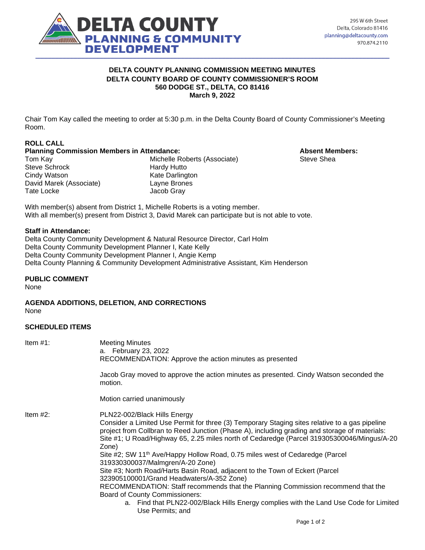

### **DELTA COUNTY PLANNING COMMISSION MEETING MINUTES DELTA COUNTY BOARD OF COUNTY COMMISSIONER'S ROOM 560 DODGE ST., DELTA, CO 81416 March 9, 2022**

Chair Tom Kay called the meeting to order at 5:30 p.m. in the Delta County Board of County Commissioner's Meeting Room.

# **ROLL CALL**

#### **Planning Commission Members in Attendance: Absent Members: Absent Members:**

Steve Schrock Hardy Hutto Cindy Watson **Cindy Watson**<br>
David Marek (Associate) **Research Convention**<br>
Layne Brones David Marek (Associate) Tate Locke Jacob Gray

Tom Kay **Michelle Roberts (Associate)** Steve Shea

With member(s) absent from District 1, Michelle Roberts is a voting member. With all member(s) present from District 3, David Marek can participate but is not able to vote.

### **Staff in Attendance:**

Delta County Community Development & Natural Resource Director, Carl Holm Delta County Community Development Planner I, Kate Kelly Delta County Community Development Planner I, Angie Kemp Delta County Planning & Community Development Administrative Assistant, Kim Henderson

## **PUBLIC COMMENT**

None

**AGENDA ADDITIONS, DELETION, AND CORRECTIONS**  None

### **SCHEDULED ITEMS**

| Item $#1$ : | <b>Meeting Minutes</b><br>a. February 23, 2022<br>RECOMMENDATION: Approve the action minutes as presented                                                                                                                                                                                                                              |
|-------------|----------------------------------------------------------------------------------------------------------------------------------------------------------------------------------------------------------------------------------------------------------------------------------------------------------------------------------------|
|             | Jacob Gray moved to approve the action minutes as presented. Cindy Watson seconded the<br>motion.                                                                                                                                                                                                                                      |
|             | Motion carried unanimously                                                                                                                                                                                                                                                                                                             |
| Item $#2$ : | PLN22-002/Black Hills Energy<br>Consider a Limited Use Permit for three (3) Temporary Staging sites relative to a gas pipeline<br>project from Collbran to Reed Junction (Phase A), including grading and storage of materials:<br>Site #1; U Road/Highway 65, 2.25 miles north of Cedaredge (Parcel 319305300046/Mingus/A-20<br>Zone) |
|             | Site #2; SW 11 <sup>th</sup> Ave/Happy Hollow Road, 0.75 miles west of Cedaredge (Parcel<br>319330300037/Malmgren/A-20 Zone)                                                                                                                                                                                                           |
|             | Site #3; North Road/Harts Basin Road, adjacent to the Town of Eckert (Parcel<br>323905100001/Grand Headwaters/A-352 Zone)                                                                                                                                                                                                              |
|             | RECOMMENDATION: Staff recommends that the Planning Commission recommend that the<br><b>Board of County Commissioners:</b>                                                                                                                                                                                                              |
|             | a. Find that PLN22-002/Black Hills Energy complies with the Land Use Code for Limited<br>Use Permits; and                                                                                                                                                                                                                              |